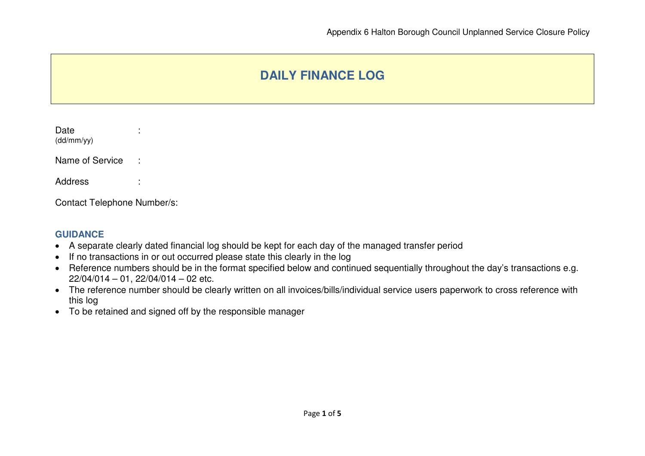## **DAILY FINANCE LOG**

| Date<br>(dd/mm/yy) |  |
|--------------------|--|
| Name of Service    |  |
| Address            |  |

Contact Telephone Number/s:

## **GUIDANCE**

- A separate clearly dated financial log should be kept for each day of the managed transfer period
- If no transactions in or out occurred please state this clearly in the log
- Reference numbers should be in the format specified below and continued sequentially throughout the day's transactions e.g. 22/04/014 – 01, 22/04/014 – 02 etc.
- The reference number should be clearly written on all invoices/bills/individual service users paperwork to cross reference with this log
- To be retained and signed off by the responsible manager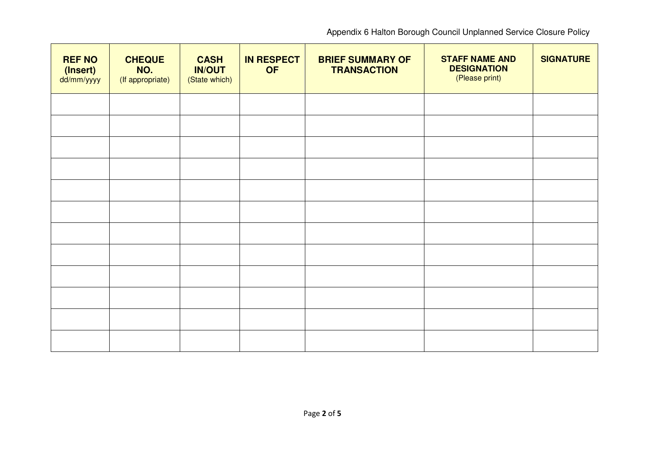Appendix 6 Halton Borough Council Unplanned Service Closure Policy

| <b>REF NO</b><br>(Insert)<br>dd/mm/yyyy | <b>CHEQUE</b><br>NO.<br>(If appropriate) | <b>CASH</b><br><b>IN/OUT</b><br>(State which) | <b>IN RESPECT</b><br><b>OF</b> | <b>BRIEF SUMMARY OF</b><br><b>TRANSACTION</b> | <b>STAFF NAME AND</b><br><b>DESIGNATION</b><br>(Please print) | <b>SIGNATURE</b> |
|-----------------------------------------|------------------------------------------|-----------------------------------------------|--------------------------------|-----------------------------------------------|---------------------------------------------------------------|------------------|
|                                         |                                          |                                               |                                |                                               |                                                               |                  |
|                                         |                                          |                                               |                                |                                               |                                                               |                  |
|                                         |                                          |                                               |                                |                                               |                                                               |                  |
|                                         |                                          |                                               |                                |                                               |                                                               |                  |
|                                         |                                          |                                               |                                |                                               |                                                               |                  |
|                                         |                                          |                                               |                                |                                               |                                                               |                  |
|                                         |                                          |                                               |                                |                                               |                                                               |                  |
|                                         |                                          |                                               |                                |                                               |                                                               |                  |
|                                         |                                          |                                               |                                |                                               |                                                               |                  |
|                                         |                                          |                                               |                                |                                               |                                                               |                  |
|                                         |                                          |                                               |                                |                                               |                                                               |                  |
|                                         |                                          |                                               |                                |                                               |                                                               |                  |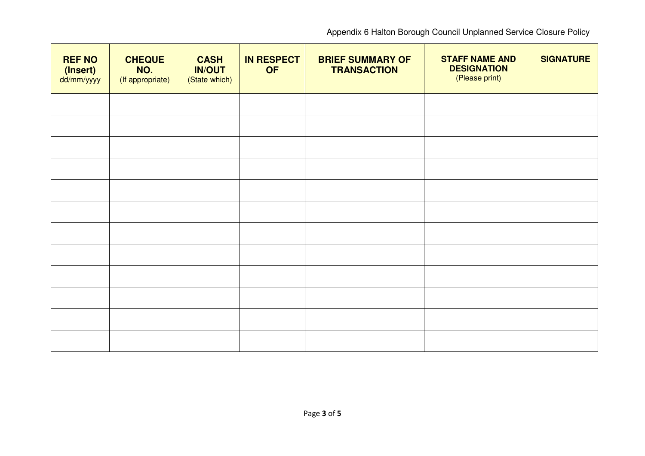Appendix 6 Halton Borough Council Unplanned Service Closure Policy

| <b>REF NO</b><br>(Insert)<br>dd/mm/yyyy | <b>CHEQUE</b><br>NO.<br>(If appropriate) | <b>CASH</b><br><b>IN/OUT</b><br>(State which) | <b>IN RESPECT</b><br><b>OF</b> | <b>BRIEF SUMMARY OF</b><br><b>TRANSACTION</b> | <b>STAFF NAME AND</b><br><b>DESIGNATION</b><br>(Please print) | <b>SIGNATURE</b> |
|-----------------------------------------|------------------------------------------|-----------------------------------------------|--------------------------------|-----------------------------------------------|---------------------------------------------------------------|------------------|
|                                         |                                          |                                               |                                |                                               |                                                               |                  |
|                                         |                                          |                                               |                                |                                               |                                                               |                  |
|                                         |                                          |                                               |                                |                                               |                                                               |                  |
|                                         |                                          |                                               |                                |                                               |                                                               |                  |
|                                         |                                          |                                               |                                |                                               |                                                               |                  |
|                                         |                                          |                                               |                                |                                               |                                                               |                  |
|                                         |                                          |                                               |                                |                                               |                                                               |                  |
|                                         |                                          |                                               |                                |                                               |                                                               |                  |
|                                         |                                          |                                               |                                |                                               |                                                               |                  |
|                                         |                                          |                                               |                                |                                               |                                                               |                  |
|                                         |                                          |                                               |                                |                                               |                                                               |                  |
|                                         |                                          |                                               |                                |                                               |                                                               |                  |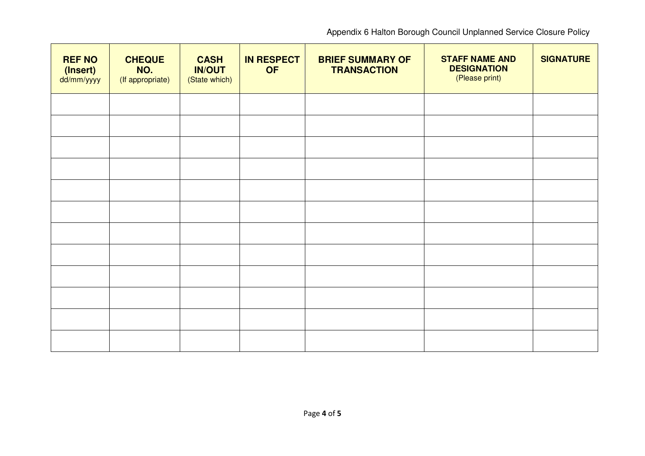Appendix 6 Halton Borough Council Unplanned Service Closure Policy

| <b>REF NO</b><br>(Insert)<br>dd/mm/yyyy | <b>CHEQUE</b><br>NO.<br>(If appropriate) | <b>CASH</b><br><b>IN/OUT</b><br>(State which) | <b>IN RESPECT</b><br><b>OF</b> | <b>BRIEF SUMMARY OF</b><br><b>TRANSACTION</b> | <b>STAFF NAME AND</b><br><b>DESIGNATION</b><br>(Please print) | <b>SIGNATURE</b> |
|-----------------------------------------|------------------------------------------|-----------------------------------------------|--------------------------------|-----------------------------------------------|---------------------------------------------------------------|------------------|
|                                         |                                          |                                               |                                |                                               |                                                               |                  |
|                                         |                                          |                                               |                                |                                               |                                                               |                  |
|                                         |                                          |                                               |                                |                                               |                                                               |                  |
|                                         |                                          |                                               |                                |                                               |                                                               |                  |
|                                         |                                          |                                               |                                |                                               |                                                               |                  |
|                                         |                                          |                                               |                                |                                               |                                                               |                  |
|                                         |                                          |                                               |                                |                                               |                                                               |                  |
|                                         |                                          |                                               |                                |                                               |                                                               |                  |
|                                         |                                          |                                               |                                |                                               |                                                               |                  |
|                                         |                                          |                                               |                                |                                               |                                                               |                  |
|                                         |                                          |                                               |                                |                                               |                                                               |                  |
|                                         |                                          |                                               |                                |                                               |                                                               |                  |